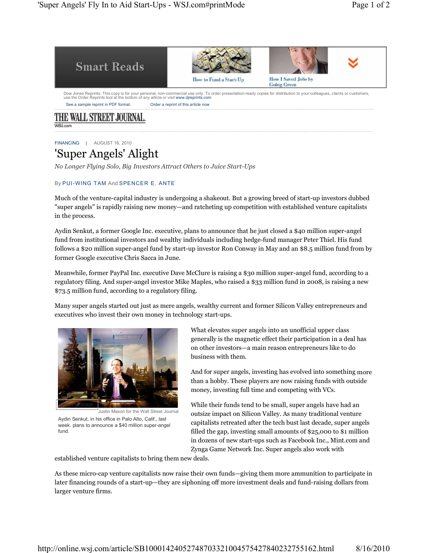| <b>Smart Reads</b>                                                                   |                                                                                                                                                                            |                                                  |  |
|--------------------------------------------------------------------------------------|----------------------------------------------------------------------------------------------------------------------------------------------------------------------------|--------------------------------------------------|--|
|                                                                                      | How to Fund a Start-Up                                                                                                                                                     | <b>How I Saved Jobs by</b><br><b>Going Green</b> |  |
| use the Order Reprints tool at the bottom of any article or visit www.direprints.com | Dow Jones Reprints: This copy is for your personal, non-commercial use only. To order presentation-ready copies for distribution to your colleagues, clients or customers, |                                                  |  |
|                                                                                      |                                                                                                                                                                            |                                                  |  |

WSLcom

FINANCING | AUGUST 16, 2010

## 'Super Angels' Alight

*No Longer Flying Solo, Big Investors Attract Others to Juice Start-Ups*

## By PUI-WING TAM And SPENCER E. ANTE

Much of the venture-capital industry is undergoing a shakeout. But a growing breed of start-up investors dubbed "super angels" is rapidly raising new money—and ratcheting up competition with established venture capitalists in the process.

Aydin Senkut, a former Google Inc. executive, plans to announce that he just closed a \$40 million super-angel fund from institutional investors and wealthy individuals including hedge-fund manager Peter Thiel. His fund follows a \$20 million super-angel fund by start-up investor Ron Conway in May and an \$8.5 million fund from by former Google executive Chris Sacca in June.

Meanwhile, former PayPal Inc. executive Dave McClure is raising a \$30 million super-angel fund, according to a regulatory filing. And super-angel investor Mike Maples, who raised a \$33 million fund in 2008, is raising a new \$73.5 million fund, according to a regulatory filing.

Many super angels started out just as mere angels, wealthy current and former Silicon Valley entrepreneurs and executives who invest their own money in technology start-ups.



Aydin Senkut, in his office in Palo Alto, Calif., last week. plans to announce a \$40 million super-angel fund.

What elevates super angels into an unofficial upper class generally is the magnetic effect their participation in a deal has on other investors—a main reason entrepreneurs like to do business with them.

And for super angels, investing has evolved into something more than a hobby. These players are now raising funds with outside money, investing full time and competing with VCs.

While their funds tend to be small, super angels have had an outsize impact on Silicon Valley. As many traditional venture capitalists retreated after the tech bust last decade, super angels filled the gap, investing small amounts of \$25,000 to \$1 million in dozens of new start-ups such as Facebook Inc., Mint.com and Zynga Game Network Inc. Super angels also work with

established venture capitalists to bring them new deals.

As these micro-cap venture capitalists now raise their own funds—giving them more ammunition to participate in later financing rounds of a start-up—they are siphoning off more investment deals and fund-raising dollars from larger venture firms.